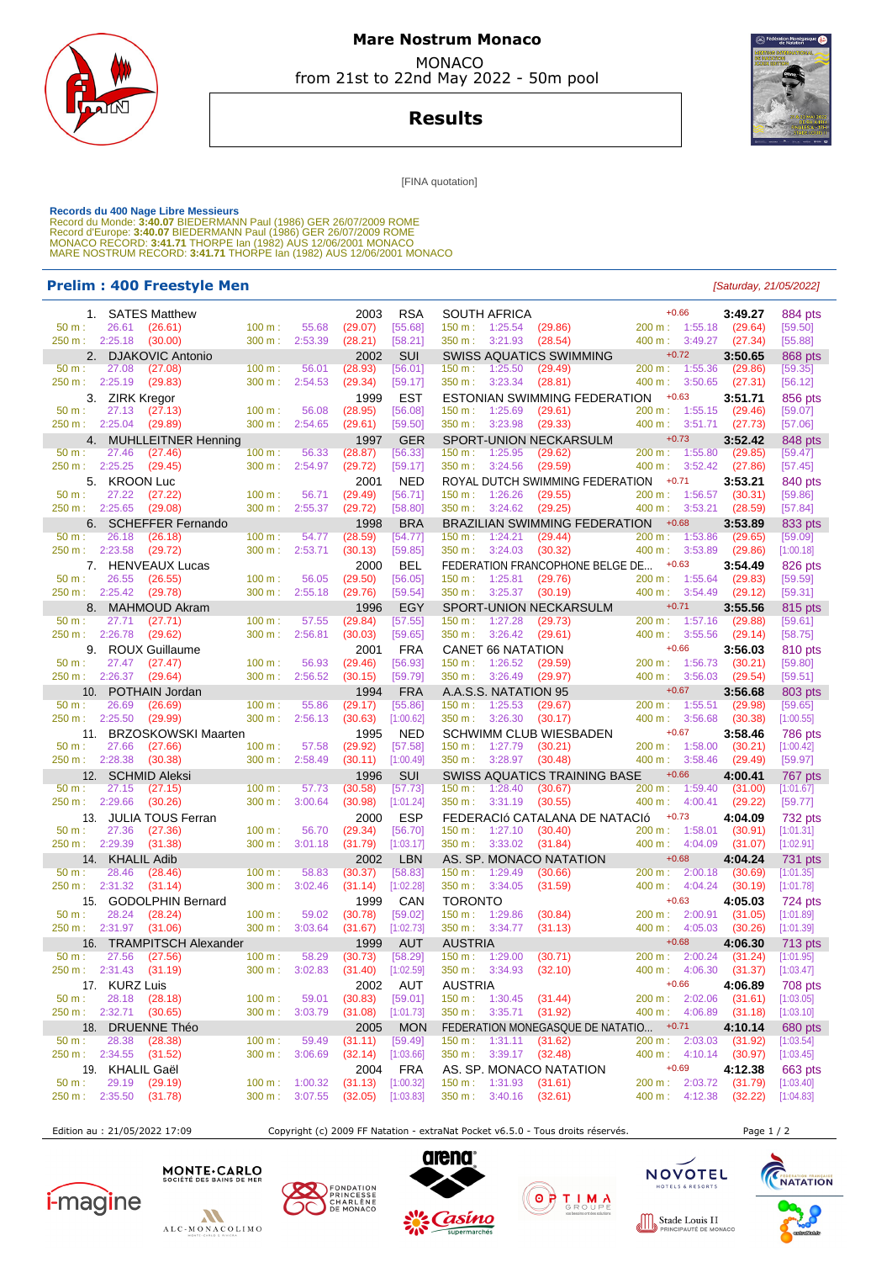

# **Mare Nostrum Monaco MONACO**

from 21st to 22nd May 2022 - 50m pool

**Results**



[FINA quotation]

Records du 400 Nage Libre Messieurs<br>Record du Monde: 3:40.07 BIEDERMANN Paul (1986) GER 26/07/2009 ROME<br>Record d'Europe: 3:40.07 BIEDERMANN Paul (1986) GER 26/07/2009 ROME<br>Record d'Europe: 3:40.07 BIEDERMANN Paul (1982) AU

### **Prelim : 400 Freestyle Men** [Saturday, 21/05/2022]

| 1. SATES Matthew              |                   | 2003               | <b>RSA</b>          | <b>SOUTH AFRICA</b>                    | $+0.66$<br>$+0.66$<br>200 m : 1:55.18 | 3:49.27 | 884 pts            |
|-------------------------------|-------------------|--------------------|---------------------|----------------------------------------|---------------------------------------|---------|--------------------|
| 26.61<br>(26.61)<br>50 m:     | $100 \text{ m}$ : | 55.68<br>(29.07)   | [55.68]             | $150 \text{ m}: 1:25.54$<br>(29.86)    |                                       | (29.64) | [59.50]            |
| 250 m: 2:25.18<br>(30.00)     | 300 m:            | 2:53.39<br>(28.21) | [58.21]             | 350 m:<br>3:21.93<br>(28.54)           | 400 m:<br>3:49.27                     | (27.34) | [55.88]            |
| 2. DJAKOVIC Antonio           |                   | 2002               | SUI                 | <b>SWISS AQUATICS SWIMMING</b>         | $+0.72$                               | 3:50.65 | 868 pts            |
| 27.08<br>50 m:<br>(27.08)     | $100 \text{ m}$ : | 56.01<br>(28.93)   | [56.01]             | 150 m: 1:25.50<br>(29.49)              | 200 m: 1:55.36                        | (29.86) | [59.35]            |
| 250 m: 2:25.19<br>(29.83)     | 300 m:            | 2:54.53<br>(29.34) | [59.17]             | 350 m: 3:23.34<br>(28.81)              | 400 m: 3:50.65                        | (27.31) | [56.12]            |
| 3. ZIRK Kregor                |                   | 1999               | <b>EST</b>          | ESTONIAN SWIMMING FEDERATION           | $+0.63$                               | 3:51.71 | 856 pts            |
| 50 m:<br>27.13<br>(27.13)     | 100 m:            | (28.95)<br>56.08   | [56.08]             | 1:25.69<br>(29.61)<br>150 m:           | 1:55.15<br>200 m:                     | (29.46) | [59.07]            |
| 250 m: 2:25.04<br>(29.89)     | 300 m:            | 2:54.65<br>(29.61) | [59.50]             | 350 m: 3:23.98<br>(29.33)              | 400 m: 3:51.71                        | (27.73) | [57.06]            |
| 4. MUHLLEITNER Henning        |                   | 1997               | <b>GER</b>          | SPORT-UNION NECKARSULM                 | $+0.73$                               | 3:52.42 | 848 pts            |
| $50 m$ :                      |                   |                    | [56.33]             |                                        |                                       |         |                    |
| 27.46<br>(27.46)              | 100 m:            | 56.33<br>(28.87)   |                     | 1:25.95<br>150 m:<br>(29.62)           | 200 m:<br>1:55.80                     | (29.85) | [59.47]            |
| 250 m:<br>2:25.25<br>(29.45)  | 300 m:            | 2:54.97<br>(29.72) | [59.17]             | 350 m:<br>3:24.56<br>(29.59)           | 400 m:<br>3:52.42                     | (27.86) | [57.45]            |
| 5. KROON Luc                  |                   | 2001               | <b>NED</b>          | ROYAL DUTCH SWIMMING FEDERATION        | $+0.71$                               | 3:53.21 | 840 pts            |
| 27.22<br>50 m:<br>(27.22)     | 100 m:            | 56.71<br>(29.49)   | [56.71]             | $150 \text{ m}: 1:26.26$<br>(29.55)    | 200 m: 1:56.57                        | (30.31) | [59.86]            |
| 250 m: 2:25.65<br>(29.08)     | 300 m: 2:55.37    | (29.72)            | [58.80]             | $350 \text{ m}: 3:24.62$<br>(29.25)    | 400 m: 3:53.21                        | (28.59) | [57.84]            |
| 6. SCHEFFER Fernando          |                   | 1998               | <b>BRA</b>          | BRAZILIAN SWIMMING FEDERATION          | $+0.68$                               | 3:53.89 | 833 pts            |
| 26.18<br>50 m:<br>(26.18)     | 100 m:            | 54.77<br>(28.59)   | [54.77]             | 150 m:<br>1:24.21<br>(29.44)           | 200 m: 1:53.86                        | (29.65) | [59.09]            |
| 250 m: 2:23.58<br>(29.72)     | 300 m:            | 2:53.71<br>(30.13) | [59.85]             | 350 m: 3:24.03<br>(30.32)              | 400 m:<br>3:53.89                     | (29.86) | [1:00.18]          |
| 7. HENVEAUX Lucas             |                   | 2000               | <b>BEL</b>          | FEDERATION FRANCOPHONE BELGE DE        | $+0.63$                               | 3:54.49 | 826 pts            |
| 26.55<br>50 m:<br>(26.55)     | 100 m:            | 56.05<br>(29.50)   | [56.05]             | 150 m: 1:25.81<br>(29.76)              | 200 m:<br>1:55.64                     | (29.83) | [59.59]            |
| 250 m : 2:25.42<br>(29.78)    | 300 m:            | 2:55.18<br>(29.76) | [59.54]             | 350 m:<br>3:25.37<br>(30.19)           | 400 m:<br>3:54.49                     | (29.12) | [59.31]            |
| 8. MAHMOUD Akram              |                   | 1996               | EGY                 | SPORT-UNION NECKARSULM                 | $+0.71$                               | 3:55.56 |                    |
| 50 m:<br>27.71<br>(27.71)     | $100 m$ :         | 57.55<br>(29.84)   | [57.55]             | 150 m:<br>1:27.28<br>(29.73)           | 200 m: 1:57.16                        | (29.88) | 815 pts<br>[59.61] |
| 250 m: 2:26.78<br>(29.62)     | 300 m:            | 2:56.81<br>(30.03) | [59.65]             | 350 m: 3:26.42<br>(29.61)              | 400 m: 3:55.56                        | (29.14) |                    |
|                               |                   |                    |                     |                                        |                                       |         | [58.75]            |
| 9. ROUX Guillaume             |                   | 2001               | <b>FRA</b>          | <b>CANET 66 NATATION</b>               | $+0.66$                               | 3:56.03 | 810 pts            |
| 50 m:<br>27.47<br>(27.47)     | 100 m:            | 56.93<br>(29.46)   | [56.93]             | 1:26.52<br>150 m:<br>(29.59)           | 200 m: 1:56.73                        | (30.21) | [59.80]            |
| $2:26.37$ (29.64)<br>250 m :  | 300 m:            | 2:56.52<br>(30.15) | [59.79]             | 350 m:<br>3:26.49<br>(29.97)           | 400 m:<br>3:56.03                     | (29.54) | [59.51]            |
| 10. POTHAIN Jordan            |                   | 1994               | <b>FRA</b>          | A.A.S.S. NATATION 95                   | $+0.67$                               | 3:56.68 | 803 pts            |
| $50 m$ :<br>26.69<br>(26.69)  | 100 m:            | 55.86<br>(29.17)   | [55.86]             | 150 m: 1:25.53<br>(29.67)              | 200 m:<br>1:55.51                     | (29.98) | [59.65]            |
| 250 m:<br>2:25.50<br>(29.99)  | 300 m:            | 2:56.13<br>(30.63) | [1:00.62]           | 350 m:<br>3:26.30<br>(30.17)           | 400 m:<br>3:56.68                     | (30.38) | [1:00.55]          |
| 11. BRZOSKOWSKI Maarten       |                   | 1995               | <b>NED</b>          | <b>SCHWIMM CLUB WIESBADEN</b>          | $+0.67$                               | 3:58.46 | <b>786 pts</b>     |
| 27.66<br>50 m:<br>(27.66)     | 100 m:            | 57.58<br>(29.92)   | [57.58]             | 150 m : 1:27.79<br>(30.21)             | 200 m: 1:58.00                        | (30.21) | [1:00.42]          |
| 250 m: 2:28.38<br>(30.38)     | $300 \text{ m}$ : | 2:58.49<br>(30.11) | [1:00.49]           | 350 m: 3:28.97<br>(30.48)              | 400 m:<br>3:58.46                     | (29.49) | [59.97]            |
| 12. SCHMID Aleksi             |                   | 1996               | SUI                 | SWISS AQUATICS TRAINING BASE           | $+0.66$                               | 4:00.41 | 767 pts            |
| 27.15<br>50 m:<br>(27.15)     | 100 m:            | 57.73<br>(30.58)   | [57.73]             | 1:28.40<br>150 m:<br>(30.67)           | 200 m: 1:59.40                        | (31.00) | [1:01.67]          |
| 2:29.66<br>250 m :<br>(30.26) | 300 m:            | 3:00.64<br>(30.98) | [1:01.24]           | 350 m: 3:31.19<br>(30.55)              | 400 m:<br>4:00.41                     | (29.22) | [59.77]            |
|                               |                   |                    |                     |                                        |                                       |         |                    |
| 13. JULIA TOUS Ferran         |                   | 2000               | <b>ESP</b>          | FEDERACIÓ CATALANA DE NATACIÓ          | $+0.73$                               | 4:04.09 | 732 pts            |
| 27.36<br>50 m:<br>(27.36)     | 100 m:            | 56.70<br>(29.34)   | [56.70]             | 150 m: 1:27.10<br>(30.40)              | 200 m:<br>1:58.01                     | (30.91) | [1:01.31]          |
| 250 m:<br>2:29.39<br>(31.38)  | 300 m:            | 3:01.18<br>(31.79) | [1:03.17]           | 350 m:<br>3:33.02<br>(31.84)           | 400 m:<br>4:04.09                     | (31.07) | [1:02.91]          |
| 14. KHALIL Adib               |                   | 2002               | <b>LBN</b>          | AS. SP. MONACO NATATION                | $+0.68$                               | 4:04.24 | 731 pts            |
| 28.46<br>50 m:<br>(28.46)     | 100 m:            | 58.83<br>(30.37)   | [58.83]             | 150 m: 1:29.49<br>(30.66)              | 200 m:<br>2:00.18                     | (30.69) | [1:01.35]          |
| 250 m: 2:31.32<br>(31.14)     | 300 m:            | 3:02.46<br>(31.14) | [1:02.28]           | 350 m: 3:34.05<br>(31.59)              | 400 m:<br>4:04.24                     | (30.19) | [1:01.78]          |
| 15. GODOLPHIN Bernard         |                   | 1999               | CAN                 | <b>TORONTO</b>                         | $+0.63$                               | 4:05.03 | 724 pts            |
| 50 m:<br>28.24<br>(28.24)     | 100 m:            | 59.02<br>(30.78)   | [59.02]             | 150 m: 1:29.86<br>(30.84)              | 200 m:<br>2:00.91                     | (31.05) | [1:01.89]          |
| 2:31.97 (31.06)<br>250 m :    | 300 m:            | 3:03.64<br>(31.67) | [1:02.73]           | 350 m: 3:34.77<br>(31.13)              | 400 m:<br>4:05.03                     | (30.26) | [1:01.39]          |
| TRAMPITSCH Alexander<br>16.   |                   | 1999               | <b>AUT</b>          | <b>AUSTRIA</b>                         | $+0.68$                               | 4:06.30 | <b>713 pts</b>     |
| 27.56 (27.56)<br>$50 m$ :     | $100 m$ :         | 58.29<br>(30.73)   | [58.29]             | 150 m: 1:29.00<br>(30.71)              | 200 m: 2:00.24                        | (31.24) | [1:01.95]          |
| 250 m: 2:31.43 (31.19)        | 300 m: 3:02.83    |                    | $(31.40)$ [1:02.59] | 350 m: 3:34.93 (32.10)                 | 400 m: 4:06.30 (31.37)                |         | [1:03.47]          |
|                               |                   | 2002               |                     | <b>AUSTRIA</b>                         | $+0.66$                               |         |                    |
| 17. KURZ Luis                 |                   |                    | AUT                 | 150 m: 1:30.45 (31.44)                 |                                       | 4:06.89 | 708 pts            |
| 28.18 (28.18)<br>$50 m$ :     | $100 \text{ m}$ : | (30.83)<br>59.01   | [59.01]             |                                        | 200 m: 2:02.06                        | (31.61) | [1:03.05]          |
| 250 m: 2:32.71 (30.65)        | $300 \text{ m}$ : | 3:03.79<br>(31.08) | [1:01.73]           | 350 m : 3:35.71<br>(31.92)             | 400 m: 4:06.89                        | (31.18) | [1:03.10]          |
| 18. DRUENNE Théo              |                   | 2005               | <b>MON</b>          | FEDERATION MONEGASQUE DE NATATIO +0.71 |                                       | 4:10.14 | 680 pts            |
| 28.38<br>$50 m$ :<br>(28.38)  | 100 m:            | 59.49<br>(31.11)   | $[59.49]$           | $150 \text{ m}: 1:31.11$<br>(31.62)    | 200 m: 2:03.03                        | (31.92) | [1:03.54]          |
| 250 m: 2:34.55 (31.52)        | 300 m:            | 3:06.69<br>(32.14) | [1:03.66]           | 350 m : 3:39.17 (32.48)                | $400 \text{ m}: 4:10.14$              | (30.97) | [1:03.45]          |
| 19. KHALIL Gaël               |                   | 2004               | <b>FRA</b>          | AS. SP. MONACO NATATION                | $+0.69$                               | 4:12.38 | 663 pts            |
| 29.19<br>50 m:<br>(29.19)     | $100 \text{ m}$ : | (31.13)<br>1:00.32 | [1:00.32]           | 150 m: 1:31.93 (31.61)                 | 200 m: 2:03.72                        | (31.79) | [1:03.40]          |
| 250 m:<br>2:35.50<br>(31.78)  | $300 \text{ m}$ : | 3:07.55<br>(32.05) | [1:03.83]           | $350 \text{ m}: 3:40.16$ (32.61)       | 400 m: 4:12.38                        | (32.22) | [1:04.83]          |
|                               |                   |                    |                     |                                        |                                       |         |                    |

Edition au : 21/05/2022 17:09 Copyright (c) 2009 FF Natation - extraNat Pocket v6.5.0 - Tous droits réservés. Page 1 / 2





MONTE . CARLO